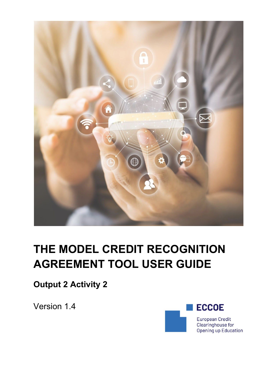

# **THE MODEL CREDIT RECOGNITION AGREEMENT TOOL USER GUIDE**

**Output 2 Activity 2**

Version 1.4

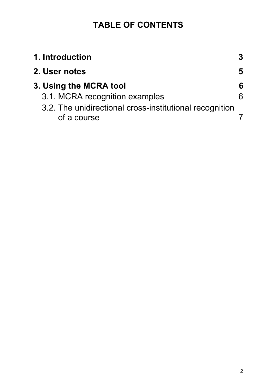### **TABLE OF CONTENTS**

| 1. Introduction                                                        |   |
|------------------------------------------------------------------------|---|
| 2. User notes                                                          | 5 |
| 3. Using the MCRA tool                                                 | 6 |
| 3.1. MCRA recognition examples                                         |   |
| 3.2. The unidirectional cross-institutional recognition<br>of a course |   |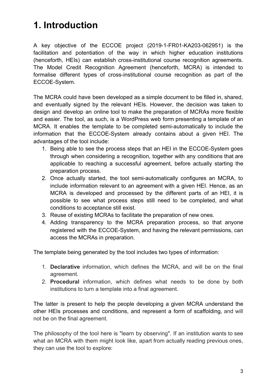# <span id="page-2-0"></span>**1. Introduction**

A key objective of the ECCOE project (2019-1-FR01-KA203-062951) is the facilitation and potentiation of the way in which higher education institutions (henceforth, HEIs) can establish cross-institutional course recognition agreements. The Model Credit Recognition Agreement (henceforth, MCRA) is intended to formalise different types of cross-institutional course recognition as part of the ECCOE-System.

The MCRA could have been developed as a simple document to be filled in, shared, and eventually signed by the relevant HEIs. However, the decision was taken to design and develop an online tool to make the preparation of MCRAs more flexible and easier. The tool, as such, is a WordPress web form presenting a template of an MCRA. It enables the template to be completed semi-automatically to include the information that the ECCOE-System already contains about a given HEI. The advantages of the tool include:

- 1. Being able to see the process steps that an HEI in the ECCOE-System goes through when considering a recognition, together with any conditions that are applicable to reaching a successful agreement, before actually starting the preparation process.
- 2. Once actually started, the tool semi-automatically configures an MCRA, to include information relevant to an agreement with a given HEI. Hence, as an MCRA is developed and processed by the different parts of an HEI, it is possible to see what process steps still need to be completed, and what conditions to acceptance still exist.
- 3. Reuse of existing MCRAs to facilitate the preparation of new ones.
- 4. Adding transparency to the MCRA preparation process, so that anyone registered with the ECCOE-System, and having the relevant permissions, can access the MCRAs in preparation.

The template being generated by the tool includes two types of information:

- 1. **Declarative** information, which defines the MCRA, and will be on the final agreement.
- 2. **Procedural** information, which defines what needs to be done by both institutions to turn a template into a final agreement.

The latter is present to help the people developing a given MCRA understand the other HEIs processes and conditions, and represent a form of scaffolding, and will not be on the final agreement.

The philosophy of the tool here is "learn by observing". If an institution wants to see what an MCRA with them might look like, apart from actually reading previous ones, they can use the tool to explore: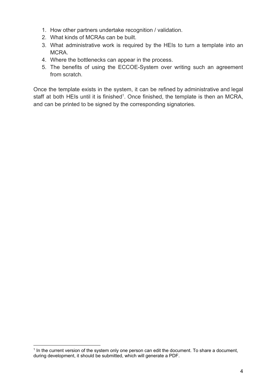- 1. How other partners undertake recognition / validation.
- 2. What kinds of MCRAs can be built.
- 3. What administrative work is required by the HEIs to turn a template into an MCRA.
- 4. Where the bottlenecks can appear in the process.
- 5. The benefits of using the ECCOE-System over writing such an agreement from scratch.

Once the template exists in the system, it can be refined by administrative and legal staff at both HEIs until it is finished<sup>1</sup>. Once finished, the template is then an MCRA, and can be printed to be signed by the corresponding signatories.

<sup>&</sup>lt;sup>1</sup> In the current version of the system only one person can edit the document. To share a document, during development, it should be submitted, which will generate a PDF.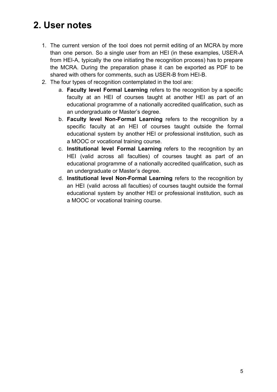## <span id="page-4-0"></span>**2. User notes**

- 1. The current version of the tool does not permit editing of an MCRA by more than one person. So a single user from an HEI (in these examples, USER-A from HEI-A, typically the one initiating the recognition process) has to prepare the MCRA. During the preparation phase it can be exported as PDF to be shared with others for comments, such as USER-B from HEI-B.
- 2. The four types of recognition contemplated in the tool are:
	- a. **Faculty level Formal Learning** refers to the recognition by a specific faculty at an HEI of courses taught at another HEI as part of an educational programme of a nationally accredited qualification, such as an undergraduate or Master's degree.
	- b. **Faculty level Non-Formal Learning** refers to the recognition by a specific faculty at an HEI of courses taught outside the formal educational system by another HEI or professional institution, such as a MOOC or vocational training course.
	- c. **Institutional level Formal Learning** refers to the recognition by an HEI (valid across all faculties) of courses taught as part of an educational programme of a nationally accredited qualification, such as an undergraduate or Master's degree.
	- d. **Institutional level Non-Formal Learning** refers to the recognition by an HEI (valid across all faculties) of courses taught outside the formal educational system by another HEI or professional institution, such as a MOOC or vocational training course.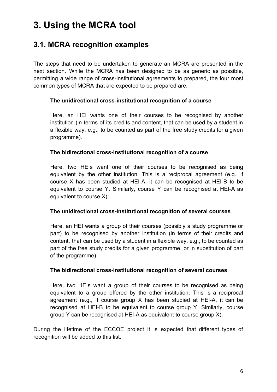## <span id="page-5-0"></span>**3. Using the MCRA tool**

### <span id="page-5-1"></span>**3.1. MCRA recognition examples**

The steps that need to be undertaken to generate an MCRA are presented in the next section. While the MCRA has been designed to be as generic as possible, permitting a wide range of cross-institutional agreements to prepared, the four most common types of MCRA that are expected to be prepared are:

#### **The unidirectional cross-institutional recognition of a course**

Here, an HEI wants one of their courses to be recognised by another institution (in terms of its credits and content, that can be used by a student in a flexible way, e.g., to be counted as part of the free study credits for a given programme).

#### **The bidirectional cross-institutional recognition of a course**

Here, two HEIs want one of their courses to be recognised as being equivalent by the other institution. This is a reciprocal agreement (e.g., if course X has been studied at HEI-A, it can be recognised at HEI-B to be equivalent to course Y. Similarly, course Y can be recognised at HEI-A as equivalent to course X).

#### **The unidirectional cross-institutional recognition of several courses**

Here, an HEI wants a group of their courses (possibly a study programme or part) to be recognised by another institution (in terms of their credits and content, that can be used by a student in a flexible way, e.g., to be counted as part of the free study credits for a given programme, or in substitution of part of the programme).

#### **The bidirectional cross-institutional recognition of several courses**

Here, two HEIs want a group of their courses to be recognised as being equivalent to a group offered by the other institution. This is a reciprocal agreement (e.g., if course group X has been studied at HEI-A, it can be recognised at HEI-B to be equivalent to course group Y. Similarly, course group Y can be recognised at HEI-A as equivalent to course group X).

During the lifetime of the ECCOE project it is expected that different types of recognition will be added to this list.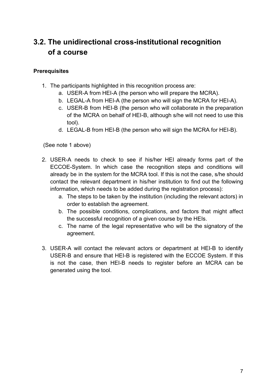### <span id="page-6-0"></span>**3.2. The unidirectional cross-institutional recognition of a course**

#### **Prerequisites**

- 1. The participants highlighted in this recognition process are:
	- a. USER-A from HEI-A (the person who will prepare the MCRA).
	- b. LEGAL-A from HEI-A (the person who will sign the MCRA for HEI-A).
	- c. USER-B from HEI-B (the person who will collaborate in the preparation of the MCRA on behalf of HEI-B, although s/he will not need to use this tool).
	- d. LEGAL-B from HEI-B (the person who will sign the MCRA for HEI-B).

(See note 1 above)

- 2. USER-A needs to check to see if his/her HEI already forms part of the ECCOE-System. In which case the recognition steps and conditions will already be in the system for the MCRA tool. If this is not the case, s/he should contact the relevant department in his/her institution to find out the following information, which needs to be added during the registration process):
	- a. The steps to be taken by the institution (including the relevant actors) in order to establish the agreement.
	- b. The possible conditions, complications, and factors that might affect the successful recognition of a given course by the HEIs.
	- c. The name of the legal representative who will be the signatory of the agreement.
- 3. USER-A will contact the relevant actors or department at HEI-B to identify USER-B and ensure that HEI-B is registered with the ECCOE System. If this is not the case, then HEI-B needs to register before an MCRA can be generated using the tool.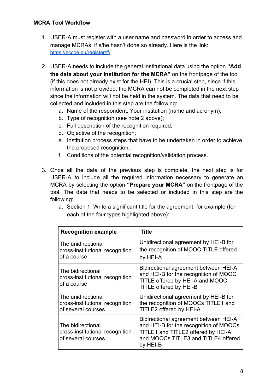- 1. USER-A must register with a user name and password in order to access and manage MCRAs, if s/he hasn't done so already. Here is the link: <https://eccoe.eu/register/#/>
- 2. USER-A needs to include the general institutional data using the option **"Add the data about your institution for the MCRA"** on the frontpage of the tool (if this does not already exist for the HEI). This is a crucial step, since if this information is not provided, the MCRA can not be completed in the next step since the information will not be held in the system. The data that need to be collected and included in this step are the following:
	- a. Name of the respondent; Your institution (name and acronym);
	- b. Type of recognition (see note 2 above);
	- c. Full description of the recognition required;
	- d. Objective of the recognition;
	- e. Institution process steps that have to be undertaken in order to achieve the proposed recognition;
	- f. Conditions of the potential recognition/validation process.
- 3. Once all the data of the previous step is complete, the next step is for USER-A to include all the required information necessary to generate an MCRA by selecting the option **"Prepare your MCRA"** on the frontpage of the tool. The data that needs to be selected or included in this step are the following:
	- a. Section 1: Write a significant title for the agreement, for example (for each of the four types highlighted above):

| <b>Recognition example</b>                                                  | Title                                                                                                                                                                    |
|-----------------------------------------------------------------------------|--------------------------------------------------------------------------------------------------------------------------------------------------------------------------|
| The unidirectional<br>cross-institutional recognition<br>of a course        | Unidirectional agreement by HEI-B for<br>the recognition of MOOC TITLE offered<br>by HEI-A                                                                               |
| The bidirectional<br>cross-institutional recognition<br>of a course         | Bidirectional agreement between HEI-A<br>and HEI-B for the recognition of MOOC<br>TITLE offered by HEI-A and MOOC<br>TITLE offered by HEI-B                              |
| The unidirectional<br>cross-institutional recognition<br>of several courses | Unidirectional agreement by HEI-B for<br>the recognition of MOOCs TITLE1 and<br>TITLE2 offered by HEI-A                                                                  |
| The bidirectional<br>cross-institutional recognition<br>of several courses  | Bidirectional agreement between HEI-A<br>and HEI-B for the recognition of MOOCs<br>TITLE1 and TITLE2 offered by HEI-A<br>and MOOCs TITLE3 and TITLE4 offered<br>by HEI-B |